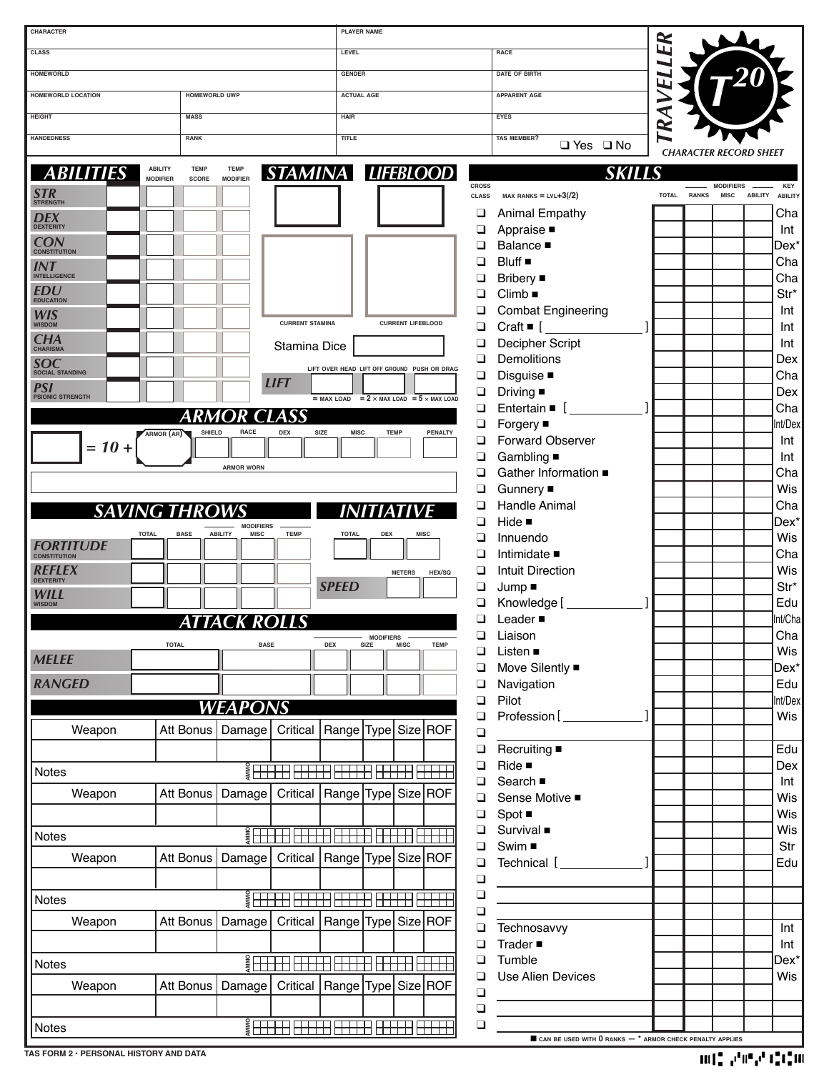| CHARACTER                                      |                                              | <b>PLAYER NAME</b>          |                                                          |              |                                                                             |           |             |                  |                                  |
|------------------------------------------------|----------------------------------------------|-----------------------------|----------------------------------------------------------|--------------|-----------------------------------------------------------------------------|-----------|-------------|------------------|----------------------------------|
| <b>CLASS</b>                                   |                                              | LEVEL                       |                                                          |              | RACE                                                                        | ER        |             |                  |                                  |
| <b>HOMEWORLD</b>                               |                                              | <b>GENDER</b>               |                                                          |              | <b>DATE OF BIRTH</b>                                                        |           |             |                  |                                  |
|                                                |                                              |                             |                                                          |              |                                                                             | L         |             |                  |                                  |
| <b>HOMEWORLD LOCATION</b>                      | <b>HOMEWORLD UWP</b>                         | <b>ACTUAL AGE</b>           |                                                          |              | <b>APPARENT AGE</b>                                                         |           |             |                  |                                  |
| <b>HEIGHT</b>                                  | <b>MASS</b>                                  | <b>HAIR</b>                 |                                                          |              | <b>EYES</b>                                                                 | ⋖         |             |                  |                                  |
| <b>HANDEDNESS</b>                              | <b>RANK</b>                                  | TITLE                       |                                                          |              | <b>TAS MEMBER?</b>                                                          | $\approx$ |             |                  |                                  |
|                                                |                                              |                             |                                                          |              | $\Box$ Yes $\Box$ No                                                        |           |             |                  | <b>CHARACTER RECORD SHEET</b>    |
| <b>ABILITY</b><br><b>ABILITIES</b>             | <b>TEMP</b><br><b>TEMP</b>                   |                             | STAMINA LIFEBLOOD                                        |              | <b>SKILL</b>                                                                |           |             |                  |                                  |
| <b>MODIFIER</b>                                | <b>MODIFIER</b><br>SCORE                     |                             |                                                          | <b>CROSS</b> |                                                                             |           |             | <b>MODIFIERS</b> | KEY                              |
| STR                                            |                                              |                             |                                                          | <b>CLASS</b> | $max$ RANKS = LVL+3(/2)                                                     |           | TOTAL RANKS | <b>MISC</b>      | <b>ABILITY</b><br><b>ABILITY</b> |
| <b>DEX</b>                                     |                                              |                             |                                                          | ❏            | <b>Animal Empathy</b>                                                       |           |             |                  | Cha                              |
|                                                |                                              |                             |                                                          | □            | Appraise ■                                                                  |           |             |                  | Int                              |
| <b>CON</b><br><b>CONSTITUTION</b>              |                                              |                             |                                                          | ◻            | Balance $\blacksquare$                                                      |           |             |                  | Dex*                             |
| <b>INT</b><br>INTELLIGENCE                     |                                              |                             |                                                          | ◻            | Bluff                                                                       |           |             |                  | Cha                              |
|                                                |                                              |                             |                                                          | □            | <b>Bribery</b> ■                                                            |           |             |                  | Cha                              |
| <b>EDU</b><br><b>EDUCATION</b>                 |                                              |                             |                                                          | $\Box$       | $Climb$ $\blacksquare$                                                      |           |             |                  | Str*                             |
| <b>WIS</b><br>WISDOM                           |                                              | <b>CURRENT STAMINA</b>      | <b>CURRENT LIFEBLOOD</b>                                 |              | <b>Combat Engineering</b>                                                   |           |             |                  | Int                              |
|                                                |                                              |                             |                                                          | ❏            | Craft $\blacksquare$ [                                                      |           |             |                  | Int                              |
| $CHA$ CHARISMA                                 |                                              | <b>Stamina Dice</b>         |                                                          | ◻<br>◻       | Decipher Script<br><b>Demolitions</b>                                       |           |             |                  | Int                              |
| <b>SOC</b><br><b>SOCIAL STANDING</b>           |                                              |                             | LIFT OVER HEAD LIFT OFF GROUND PUSH OR DRAG              |              |                                                                             |           |             |                  | Dex                              |
| <b>PSI</b>                                     | <b>LIFT</b>                                  |                             |                                                          | ❏<br>❏       | Disguise ■                                                                  |           |             |                  | Cha<br>Dex                       |
| <b>PSIONIC STRENGTH</b>                        |                                              |                             | $=$ MAX LOAD = 2 $\times$ MAX LOAD = 5 $\times$ MAX LOAD | ❏            | Driving $\blacksquare$<br>Entertain $\blacksquare$ [                        |           |             |                  | Cha                              |
|                                                | <b>ARMOR CLASS</b>                           |                             |                                                          | ❏            | Forgery ■                                                                   |           |             |                  | nt/Dex                           |
| ARMOR (AR)                                     | <b>SHIELD</b><br><b>RACE</b><br>DEX          | <b>SIZE</b><br><b>MISC</b>  | <b>TEMP</b><br>PENALTY                                   | ◻            | <b>Forward Observer</b>                                                     |           |             |                  | Int                              |
| $= 10 +$                                       |                                              |                             |                                                          | □            | Gambling ■                                                                  |           |             |                  | Int                              |
|                                                | <b>ARMOR WORN</b>                            |                             |                                                          | □            | Gather Information ■                                                        |           |             |                  | Cha                              |
|                                                |                                              |                             |                                                          | ❏            | Gunnery ■                                                                   |           |             |                  | Wis                              |
|                                                |                                              |                             |                                                          | ◻            | Handle Animal                                                               |           |             |                  | Cha                              |
| <b>SAVING THROWS</b>                           | <b>MODIFIERS</b>                             |                             |                                                          | ❏            | Hide $\blacksquare$                                                         |           |             |                  | Dex*                             |
| <b>TOTAL</b>                                   | <b>ABILITY</b><br><b>MISC</b><br><b>BASE</b> | <b>TEMP</b><br><b>TOTAL</b> | <b>DEX</b><br><b>MISC</b>                                | ◻            | Innuendo                                                                    |           |             |                  | Wis                              |
| <i><b>FORTITUDE</b></i><br><b>CONSTITUTION</b> |                                              |                             |                                                          | □            | Intimidate ■                                                                |           |             |                  | Cha                              |
| REFLEX                                         |                                              |                             | HEX/SQ<br><b>METERS</b>                                  | ❏            | <b>Intuit Direction</b>                                                     |           |             |                  | Wis                              |
| <b>DEXTERITY</b><br>WILL                       |                                              | <b>SPEED</b>                |                                                          | ❏            | $Jump =$                                                                    |           |             |                  | Str*                             |
| <b>WISDOM</b>                                  |                                              |                             |                                                          |              | Knowledge [                                                                 |           |             |                  | Edu                              |
|                                                | ATTACK ROLLS                                 |                             |                                                          | □            | Leader ■                                                                    |           |             |                  | Int/Cha                          |
| <b>TOTAL</b>                                   | <b>BASE</b>                                  | <b>DEX</b>                  | <b>MODIFIERS</b><br>SIZE<br><b>MISC</b><br><b>TEMP</b>   |              | Liaison                                                                     |           |             |                  | Cha                              |
| <b>MELEE</b>                                   |                                              |                             |                                                          | ◻            | Listen ■                                                                    |           |             |                  | Wis                              |
| <b>RANGED</b>                                  |                                              |                             |                                                          | ❏            | Move Silently ■                                                             |           |             |                  | Dex*                             |
|                                                |                                              |                             |                                                          | ❏            | Navigation<br>Pilot                                                         |           |             |                  | Edu<br>nt/Dex                    |
|                                                | <b>WEAPONS</b>                               |                             |                                                          | ❏<br>❏       | Profession [                                                                |           |             |                  | Wis                              |
| Weapon                                         | Att Bonus<br>Damage                          | Critical                    | Range Type Size ROF                                      | $\Box$       |                                                                             |           |             |                  |                                  |
|                                                |                                              |                             |                                                          | $\Box$       | $Recu$ iting                                                                |           |             |                  | Edu                              |
|                                                |                                              |                             |                                                          | ❏            | Ride $\blacksquare$                                                         |           |             |                  | Dex                              |
| Notes                                          |                                              |                             |                                                          | ❏            | Search $\blacksquare$                                                       |           |             |                  | Int                              |
| Weapon                                         | Att Bonus<br>Damage                          |                             | Critical   Range   Type   Size   ROF                     | ❏            | Sense Motive ■                                                              |           |             |                  | Wis                              |
|                                                |                                              |                             |                                                          | ❏            | $Spot \blacksquare$                                                         |           |             |                  | Wis                              |
| <b>Notes</b>                                   |                                              |                             |                                                          | ◻            | Survival $\blacksquare$                                                     |           |             |                  | Wis                              |
|                                                | Att Bonus<br>Damage                          |                             | Critical   Range   Type   Size   ROF                     | ❏            | Swim ■                                                                      |           |             |                  | Str                              |
| Weapon                                         |                                              |                             |                                                          | ❏            | Technical [                                                                 |           |             |                  | Edu                              |
|                                                |                                              |                             |                                                          | $\Box$       |                                                                             |           |             |                  |                                  |
| Notes                                          |                                              |                             |                                                          | $\Box$       |                                                                             |           |             |                  |                                  |
| Weapon                                         | Att Bonus<br>Damage                          |                             | Critical   Range   Type   Size   ROF                     | $\Box$       |                                                                             |           |             |                  |                                  |
|                                                |                                              |                             |                                                          | ❏            | Technosavvy<br>Trader $\blacksquare$                                        |           |             |                  | Int                              |
|                                                |                                              |                             |                                                          | ❏<br>❏       | Tumble                                                                      |           |             |                  | Int<br>Dex*                      |
| Notes                                          |                                              |                             |                                                          | ❏            | <b>Use Alien Devices</b>                                                    |           |             |                  | Wis                              |
| Weapon                                         | Att Bonus                                    |                             | Damage   Critical   Range   Type   Size   ROF            | $\Box$       |                                                                             |           |             |                  |                                  |
|                                                |                                              |                             |                                                          | $\Box$       |                                                                             |           |             |                  |                                  |
| Notes                                          |                                              |                             |                                                          | $\Box$       |                                                                             |           |             |                  |                                  |
|                                                |                                              |                             |                                                          |              | $\blacksquare$ CAN BE USED WITH $0$ RANKS $-$ * ARMOR CHECK PENALTY APPLIES |           |             |                  |                                  |